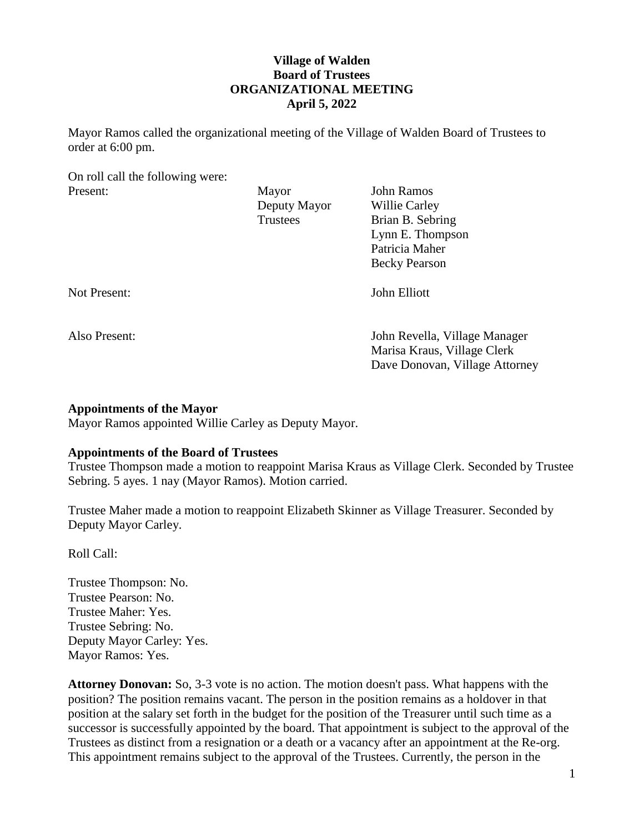# **Village of Walden Board of Trustees ORGANIZATIONAL MEETING April 5, 2022**

Mayor Ramos called the organizational meeting of the Village of Walden Board of Trustees to order at 6:00 pm.

On roll call the following were:

| Present:      | Mayor        | John Ramos                     |
|---------------|--------------|--------------------------------|
|               | Deputy Mayor | Willie Carley                  |
|               | Trustees     | Brian B. Sebring               |
|               |              | Lynn E. Thompson               |
|               |              | Patricia Maher                 |
|               |              | <b>Becky Pearson</b>           |
| Not Present:  |              | John Elliott                   |
| Also Present: |              | John Revella, Village Manager  |
|               |              | Marisa Kraus, Village Clerk    |
|               |              | Dave Donovan, Village Attorney |

#### **Appointments of the Mayor**

Mayor Ramos appointed Willie Carley as Deputy Mayor.

### **Appointments of the Board of Trustees**

Trustee Thompson made a motion to reappoint Marisa Kraus as Village Clerk. Seconded by Trustee Sebring. 5 ayes. 1 nay (Mayor Ramos). Motion carried.

Trustee Maher made a motion to reappoint Elizabeth Skinner as Village Treasurer. Seconded by Deputy Mayor Carley.

Roll Call:

Trustee Thompson: No. Trustee Pearson: No. Trustee Maher: Yes. Trustee Sebring: No. Deputy Mayor Carley: Yes. Mayor Ramos: Yes.

**Attorney Donovan:** So, 3-3 vote is no action. The motion doesn't pass. What happens with the position? The position remains vacant. The person in the position remains as a holdover in that position at the salary set forth in the budget for the position of the Treasurer until such time as a successor is successfully appointed by the board. That appointment is subject to the approval of the Trustees as distinct from a resignation or a death or a vacancy after an appointment at the Re-org. This appointment remains subject to the approval of the Trustees. Currently, the person in the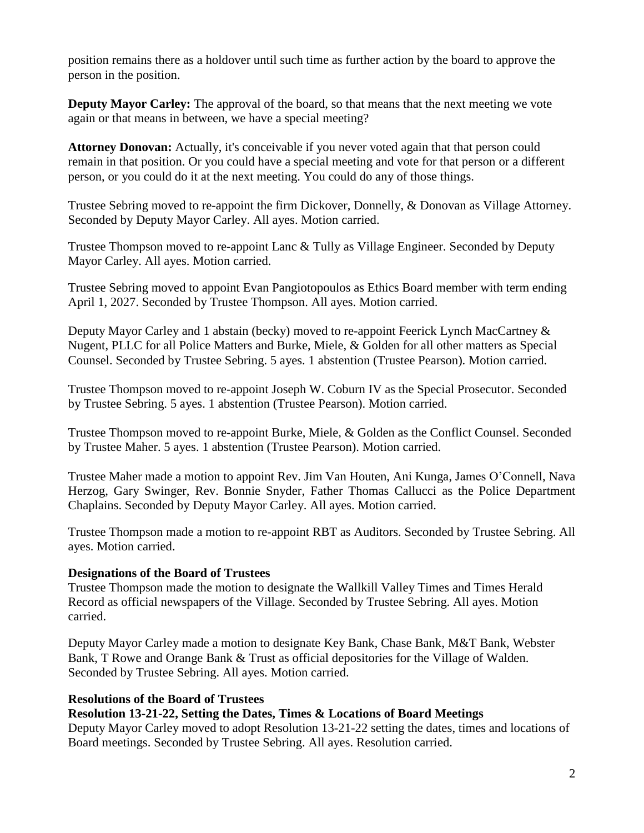position remains there as a holdover until such time as further action by the board to approve the person in the position.

**Deputy Mayor Carley:** The approval of the board, so that means that the next meeting we vote again or that means in between, we have a special meeting?

**Attorney Donovan:** Actually, it's conceivable if you never voted again that that person could remain in that position. Or you could have a special meeting and vote for that person or a different person, or you could do it at the next meeting. You could do any of those things.

Trustee Sebring moved to re-appoint the firm Dickover, Donnelly, & Donovan as Village Attorney. Seconded by Deputy Mayor Carley. All ayes. Motion carried.

Trustee Thompson moved to re-appoint Lanc & Tully as Village Engineer. Seconded by Deputy Mayor Carley. All ayes. Motion carried.

Trustee Sebring moved to appoint Evan Pangiotopoulos as Ethics Board member with term ending April 1, 2027. Seconded by Trustee Thompson. All ayes. Motion carried.

Deputy Mayor Carley and 1 abstain (becky) moved to re-appoint Feerick Lynch MacCartney & Nugent, PLLC for all Police Matters and Burke, Miele, & Golden for all other matters as Special Counsel. Seconded by Trustee Sebring. 5 ayes. 1 abstention (Trustee Pearson). Motion carried.

Trustee Thompson moved to re-appoint Joseph W. Coburn IV as the Special Prosecutor. Seconded by Trustee Sebring. 5 ayes. 1 abstention (Trustee Pearson). Motion carried.

Trustee Thompson moved to re-appoint Burke, Miele, & Golden as the Conflict Counsel. Seconded by Trustee Maher. 5 ayes. 1 abstention (Trustee Pearson). Motion carried.

Trustee Maher made a motion to appoint Rev. Jim Van Houten, Ani Kunga, James O'Connell, Nava Herzog, Gary Swinger, Rev. Bonnie Snyder, Father Thomas Callucci as the Police Department Chaplains. Seconded by Deputy Mayor Carley. All ayes. Motion carried.

Trustee Thompson made a motion to re-appoint RBT as Auditors. Seconded by Trustee Sebring. All ayes. Motion carried.

### **Designations of the Board of Trustees**

Trustee Thompson made the motion to designate the Wallkill Valley Times and Times Herald Record as official newspapers of the Village. Seconded by Trustee Sebring. All ayes. Motion carried.

Deputy Mayor Carley made a motion to designate Key Bank, Chase Bank, M&T Bank, Webster Bank, T Rowe and Orange Bank & Trust as official depositories for the Village of Walden. Seconded by Trustee Sebring. All ayes. Motion carried.

### **Resolutions of the Board of Trustees**

### **Resolution 13-21-22, Setting the Dates, Times & Locations of Board Meetings**

Deputy Mayor Carley moved to adopt Resolution 13-21-22 setting the dates, times and locations of Board meetings. Seconded by Trustee Sebring. All ayes. Resolution carried.